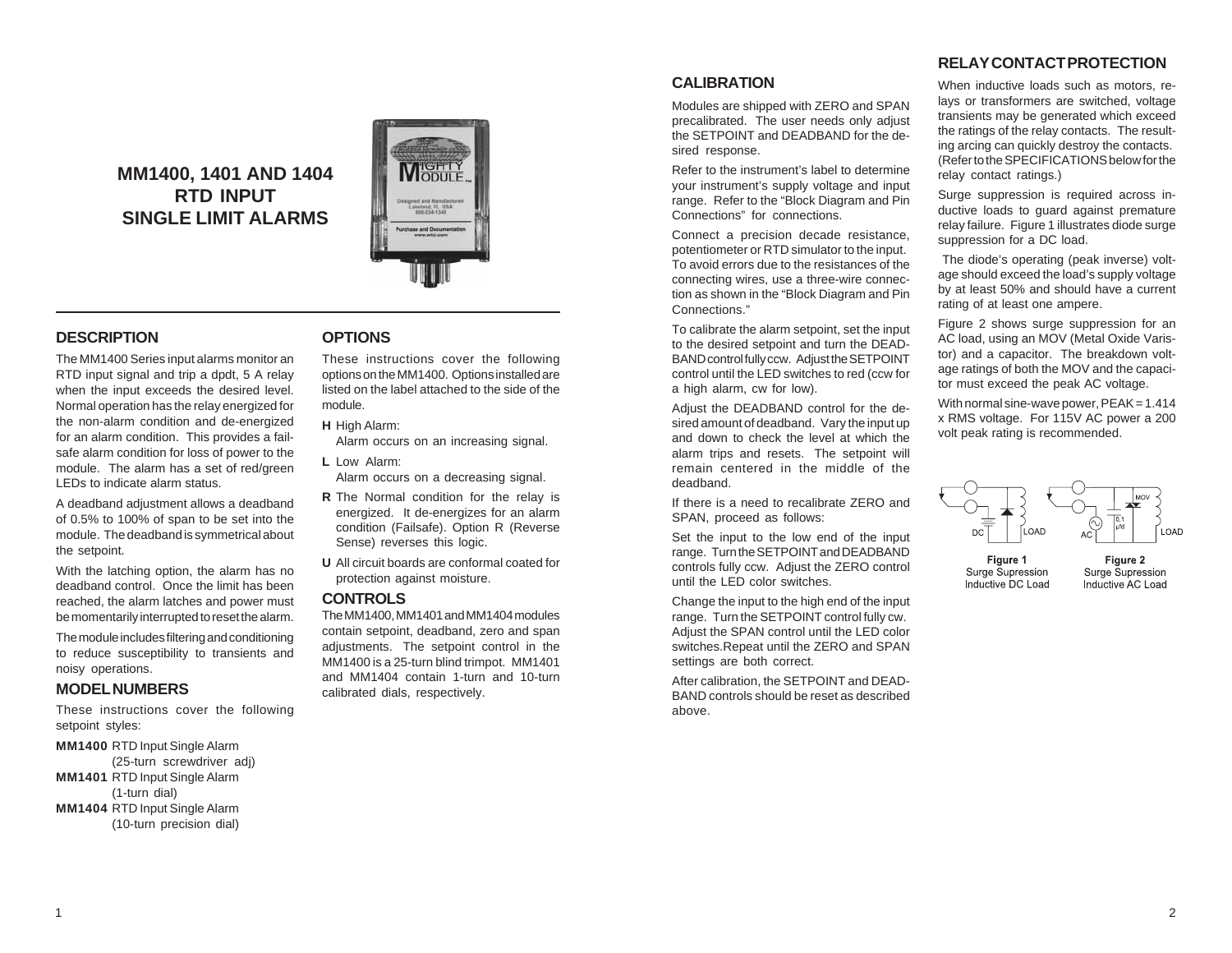**MM1400, 1401 AND 1404 RTD INPUT SINGLE LIMIT ALARMS**



# **DESCRIPTION**

The MM1400 Series input alarms monitor an RTD input signal and trip a dpdt, 5 A relay when the input exceeds the desired level. Normal operation has the relay energized for the non-alarm condition and de-energized for an alarm condition. This provides a failsafe alarm condition for loss of power to the module. The alarm has a set of red/green LEDs to indicate alarm status.

A deadband adjustment allows a deadband of 0.5% to 100% of span to be set into the module. The deadband is symmetrical about the setpoint.

With the latching option, the alarm has no deadband control. Once the limit has been reached, the alarm latches and power must be momentarily interrupted to reset the alarm.

The module includes filtering and conditioning to reduce susceptibility to transients and noisy operations.

# **MODEL NUMBERS**

These instructions cover the following setpoint styles:

**MM1400** RTD Input Single Alarm (25-turn screwdriver adj)

**MM1401** RTD Input Single Alarm

- (1-turn dial)
- **MM1404** RTD Input Single Alarm (10-turn precision dial)

### **OPTIONS**

These instructions cover the following options on the MM1400. Options installed are listed on the label attached to the side of the module.

**H** High Alarm:

Alarm occurs on an increasing signal.

**L** Low Alarm:

Alarm occurs on a decreasing signal.

- **R** The Normal condition for the relay is energized. It de-energizes for an alarm condition (Failsafe). Option R (Reverse Sense) reverses this logic.
- **U** All circuit boards are conformal coated for protection against moisture.

# **CONTROLS**

The MM1400, MM1401 and MM1404 modules contain setpoint, deadband, zero and span adjustments. The setpoint control in the MM1400 is a 25-turn blind trimpot. MM1401 and MM1404 contain 1-turn and 10-turn calibrated dials, respectively.

# **CALIBRATION**

Modules are shipped with ZERO and SPAN precalibrated. The user needs only adjust the SETPOINT and DEADBAND for the desired response.

Refer to the instrument's label to determine your instrument's supply voltage and input range. Refer to the "Block Diagram and Pin Connections" for connections.

Connect a precision decade resistance, potentiometer or RTD simulator to the input. To avoid errors due to the resistances of the connecting wires, use a three-wire connection as shown in the "Block Diagram and Pin Connections."

To calibrate the alarm setpoint, set the input to the desired setpoint and turn the DEAD-BAND control fully ccw. Adjust the SETPOINT control until the LED switches to red (ccw for a high alarm, cw for low).

Adjust the DEADBAND control for the desired amount of deadband. Vary the input up and down to check the level at which the alarm trips and resets. The setpoint will remain centered in the middle of the deadband.

If there is a need to recalibrate ZERO and SPAN, proceed as follows:

Set the input to the low end of the input range. Turn the SETPOINT and DEADBAND controls fully ccw. Adjust the ZERO control until the LED color switches.

Change the input to the high end of the input range. Turn the SETPOINT control fully cw. Adjust the SPAN control until the LED color switches.Repeat until the ZERO and SPAN settings are both correct.

After calibration, the SETPOINT and DEAD-BAND controls should be reset as described above.

# **RELAY CONTACT PROTECTION**

When inductive loads such as motors, relays or transformers are switched, voltage transients may be generated which exceed the ratings of the relay contacts. The resulting arcing can quickly destroy the contacts. (Refer to the SPECIFICATIONS below for the relay contact ratings.)

Surge suppression is required across inductive loads to quard against premature relay failure. Figure 1 illustrates diode surge suppression for a DC load.

 The diode's operating (peak inverse) voltage should exceed the load's supply voltage by at least 50% and should have a current rating of at least one ampere.

Figure 2 shows surge suppression for an AC load, using an MOV (Metal Oxide Varistor) and a capacitor. The breakdown voltage ratings of both the MOV and the capacitor must exceed the peak AC voltage.

With normal sine-wave power,  $PEAK = 1.414$ x RMS voltage. For 115V AC power a 200 volt peak rating is recommended.



Figure 1 Surge Supression Inductive DC Load

Figure 2 Surge Supression Inductive AC Load